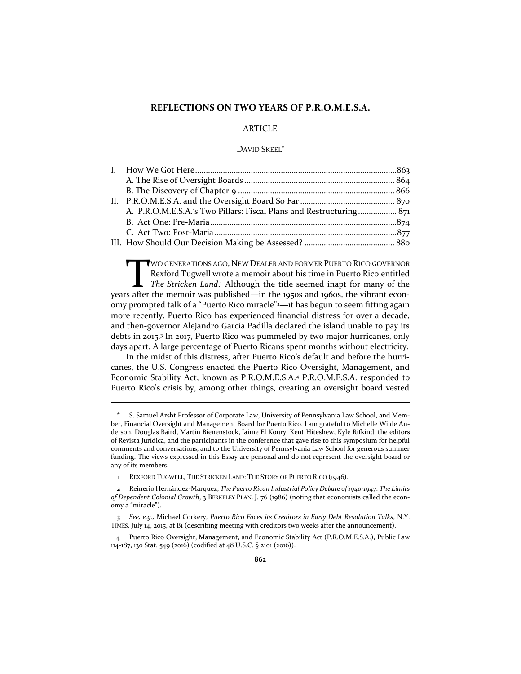# **REFLECTIONS ON TWO YEARS OF P.R.O.M.E.S.A.**

# **ARTICLE**

## DAVID SKEEL\*

| A. P.R.O.M.E.S.A.'s Two Pillars: Fiscal Plans and Restructuring 871 |  |
|---------------------------------------------------------------------|--|
|                                                                     |  |
|                                                                     |  |
|                                                                     |  |

WO GENERATIONS AGO, NEW DEALER AND FORMER PUERTO RICO GOVERNOR Rexford Tugwell wrote a memoir about his time in Puerto Rico entitled *The Stricken Land*. <sup>1</sup> Although the title seemed inapt for many of the years after the memoir was published—in the 1950s and 1960s, the vibrant economy prompted talk of a "Puerto Rico miracle"2—it has begun to seem fitting again more recently. Puerto Rico has experienced financial distress for over a decade, and then-governor Alejandro García Padilla declared the island unable to pay its debts in 2015.<sup>3</sup> In 2017, Puerto Rico was pummeled by two major hurricanes, only days apart. A large percentage of Puerto Ricans spent months without electricity.  $\prod_{\text{s after}}$ 

In the midst of this distress, after Puerto Rico's default and before the hurricanes, the U.S. Congress enacted the Puerto Rico Oversight, Management, and Economic Stability Act, known as P.R.O.M.E.S.A.<sup>4</sup> P.R.O.M.E.S.A. responded to Puerto Rico's crisis by, among other things, creating an oversight board vested

**<sup>\*</sup>** S. Samuel Arsht Professor of Corporate Law, University of Pennsylvania Law School, and Member, Financial Oversight and Management Board for Puerto Rico. I am grateful to Michelle Wilde Anderson, Douglas Baird, Martin Bienenstock, Jaime El Koury, Kent Hiteshew, Kyle Rifkind, the editors of Revista Jurídica, and the participants in the conference that gave rise to this symposium for helpful comments and conversations, and to the University of Pennsylvania Law School for generous summer funding. The views expressed in this Essay are personal and do not represent the oversight board or any of its members.

**<sup>1</sup>** REXFORD TUGWELL, THE STRICKEN LAND: THE STORY OF PUERTO RICO (1946).

**<sup>2</sup>** Reinerio Hernández-Márquez, *The Puerto Rican Industrial Policy Debate of 1940-1947: The Limits of Dependent Colonial Growth*, 3 BERKELEY PLAN. J. 76 (1986) (noting that economists called the economy a "miracle").

**<sup>3</sup>** *See, e.g.,* Michael Corkery, *Puerto Rico Faces its Creditors in Early Debt Resolution Talks*, N.Y. TIMES, July 14, 2015, at B1 (describing meeting with creditors two weeks after the announcement).

**<sup>4</sup>** Puerto Rico Oversight, Management, and Economic Stability Act (P.R.O.M.E.S.A.), Public Law 114-187, 130 Stat. 549 (2016) (codified at 48 U.S.C. § 2101 (2016)).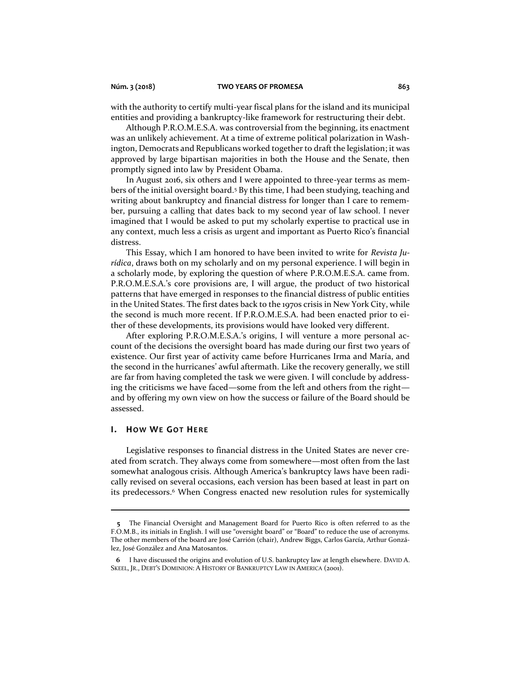with the authority to certify multi-year fiscal plans for the island and its municipal entities and providing a bankruptcy-like framework for restructuring their debt.

Although P.R.O.M.E.S.A. was controversial from the beginning, its enactment was an unlikely achievement. At a time of extreme political polarization in Washington, Democrats and Republicans worked together to draft the legislation; it was approved by large bipartisan majorities in both the House and the Senate, then promptly signed into law by President Obama.

In August 2016, six others and I were appointed to three-year terms as members of the initial oversight board.<sup>5</sup> By this time, I had been studying, teaching and writing about bankruptcy and financial distress for longer than I care to remember, pursuing a calling that dates back to my second year of law school. I never imagined that I would be asked to put my scholarly expertise to practical use in any context, much less a crisis as urgent and important as Puerto Rico's financial distress.

This Essay, which I am honored to have been invited to write for *Revista Jurídica*, draws both on my scholarly and on my personal experience. I will begin in a scholarly mode, by exploring the question of where P.R.O.M.E.S.A. came from. P.R.O.M.E.S.A.'s core provisions are, I will argue, the product of two historical patterns that have emerged in responses to the financial distress of public entities in the United States. The first dates back to the 1970s crisis in New York City, while the second is much more recent. If P.R.O.M.E.S.A. had been enacted prior to either of these developments, its provisions would have looked very different.

After exploring P.R.O.M.E.S.A.'s origins, I will venture a more personal account of the decisions the oversight board has made during our first two years of existence. Our first year of activity came before Hurricanes Irma and María, and the second in the hurricanes' awful aftermath. Like the recovery generally, we still are far from having completed the task we were given. I will conclude by addressing the criticisms we have faced—some from the left and others from the right and by offering my own view on how the success or failure of the Board should be assessed.

## **I. HOW WE GO T HE R E**

Legislative responses to financial distress in the United States are never created from scratch. They always come from somewhere—most often from the last somewhat analogous crisis. Although America's bankruptcy laws have been radically revised on several occasions, each version has been based at least in part on its predecessors.<sup>6</sup> When Congress enacted new resolution rules for systemically

**<sup>5</sup>** The Financial Oversight and Management Board for Puerto Rico is often referred to as the F.O.M.B., its initials in English. I will use "oversight board" or "Board" to reduce the use of acronyms. The other members of the board are José Carrión (chair), Andrew Biggs, Carlos García, Arthur González, José González and Ana Matosantos.

**<sup>6</sup>** I have discussed the origins and evolution of U.S. bankruptcy law at length elsewhere. DAVID A. SKEEL, JR., DEBT'S DOMINION: A HISTORY OF BANKRUPTCY LAW IN AMERICA (2001).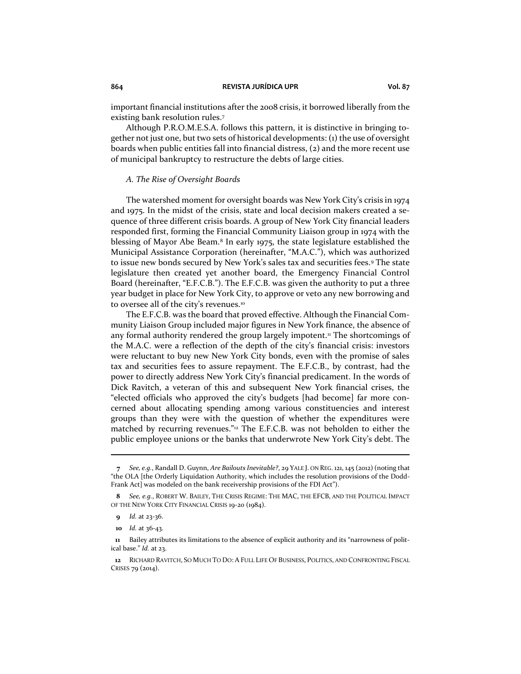important financial institutions after the 2008 crisis, it borrowed liberally from the existing bank resolution rules.<sup>7</sup>

Although P.R.O.M.E.S.A. follows this pattern, it is distinctive in bringing together not just one, but two sets of historical developments: (1) the use of oversight boards when public entities fall into financial distress, (2) and the more recent use of municipal bankruptcy to restructure the debts of large cities.

## <span id="page-2-0"></span>*A. The Rise of Oversight Boards*

The watershed moment for oversight boards was New York City's crisis in 1974 and 1975. In the midst of the crisis, state and local decision makers created a sequence of three different crisis boards. A group of New York City financial leaders responded first, forming the Financial Community Liaison group in 1974 with the blessing of Mayor Abe Beam.<sup>8</sup> In early 1975, the state legislature established the Municipal Assistance Corporation (hereinafter, "M.A.C."), which was authorized to issue new bonds secured by New York's sales tax and securities fees.<sup>9</sup> The state legislature then created yet another board, the Emergency Financial Control Board (hereinafter, "E.F.C.B."). The E.F.C.B. was given the authority to put a three year budget in place for New York City, to approve or veto any new borrowing and to oversee all of the city's revenues.<sup>10</sup>

The E.F.C.B. was the board that proved effective. Although the Financial Community Liaison Group included major figures in New York finance, the absence of any formal authority rendered the group largely impotent.<sup>11</sup> The shortcomings of the M.A.C. were a reflection of the depth of the city's financial crisis: investors were reluctant to buy new New York City bonds, even with the promise of sales tax and securities fees to assure repayment. The E.F.C.B., by contrast, had the power to directly address New York City's financial predicament. In the words of Dick Ravitch, a veteran of this and subsequent New York financial crises, the "elected officials who approved the city's budgets [had become] far more concerned about allocating spending among various constituencies and interest groups than they were with the question of whether the expenditures were matched by recurring revenues." $2$  The E.F.C.B. was not beholden to either the public employee unions or the banks that underwrote New York City's debt. The

**<sup>7</sup>** *See, e.g.*, Randall D. Guynn, *Are Bailouts Inevitable?*, 29 YALE J. ON REG. 121, 145 (2012) (noting that "the OLA [the Orderly Liquidation Authority, which includes the resolution provisions of the Dodd-Frank Act] was modeled on the bank receivership provisions of the FDI Act").

**<sup>8</sup>** *See, e.g.*, ROBERT W. BAILEY, THE CRISIS REGIME: THE MAC, THE EFCB, AND THE POLITICAL IMPACT OF THE NEW YORK CITY FINANCIAL CRISIS 19-20 (1984).

**<sup>9</sup>** *Id.* at 23-36.

**10** *Id.* at 36-43.

**11** Bailey attributes its limitations to the absence of explicit authority and its "narrowness of political base." *Id.* at 23.

**12** RICHARD RAVITCH, SO MUCH TO DO: A FULL LIFE OF BUSINESS, POLITICS, AND CONFRONTING FISCAL CRISES 79 (2014).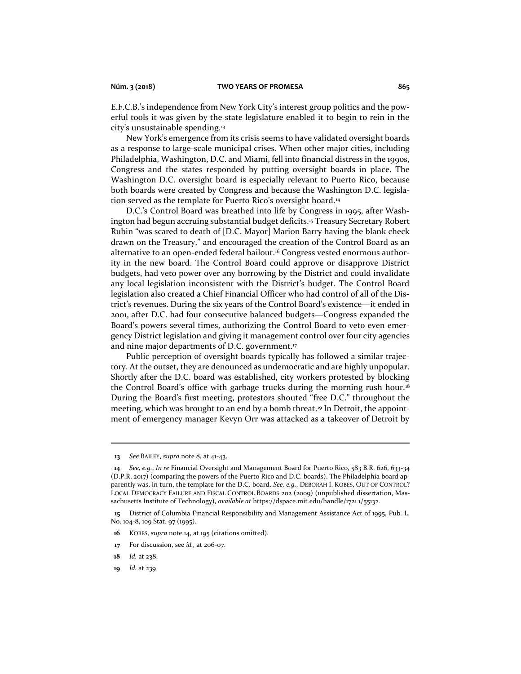E.F.C.B.'s independence from New York City's interest group politics and the powerful tools it was given by the state legislature enabled it to begin to rein in the city's unsustainable spending.<sup>13</sup>

New York's emergence from its crisis seems to have validated oversight boards as a response to large-scale municipal crises. When other major cities, including Philadelphia, Washington, D.C. and Miami, fell into financial distress in the 1990s, Congress and the states responded by putting oversight boards in place. The Washington D.C. oversight board is especially relevant to Puerto Rico, because both boards were created by Congress and because the Washington D.C. legislation served as the template for Puerto Rico's oversight board.<sup>14</sup>

<span id="page-3-0"></span>D.C.'s Control Board was breathed into life by Congress in 1995, after Washington had begun accruing substantial budget deficits.<sup>15</sup> Treasury Secretary Robert Rubin "was scared to death of [D.C. Mayor] Marion Barry having the blank check drawn on the Treasury," and encouraged the creation of the Control Board as an alternative to an open-ended federal bailout.<sup>16</sup> Congress vested enormous authority in the new board. The Control Board could approve or disapprove District budgets, had veto power over any borrowing by the District and could invalidate any local legislation inconsistent with the District's budget. The Control Board legislation also created a Chief Financial Officer who had control of all of the District's revenues. During the six years of the Control Board's existence—it ended in 2001, after D.C. had four consecutive balanced budgets—Congress expanded the Board's powers several times, authorizing the Control Board to veto even emergency District legislation and giving it management control over four city agencies and nine major departments of D.C. government.<sup>17</sup>

Public perception of oversight boards typically has followed a similar trajectory. At the outset, they are denounced as undemocratic and are highly unpopular. Shortly after the D.C. board was established, city workers protested by blocking the Control Board's office with garbage trucks during the morning rush hour.<sup>18</sup> During the Board's first meeting, protestors shouted "free D.C." throughout the meeting, which was brought to an end by a bomb threat.<sup>19</sup> In Detroit, the appointment of emergency manager Kevyn Orr was attacked as a takeover of Detroit by

**13** *See* BAILEY, *supra* not[e 8,](#page-2-0) at 41-43.

**<sup>14</sup>** *See, e.g.*, *In re* Financial Oversight and Management Board for Puerto Rico, 583 B.R. 626, 633-34 (D.P.R. 2017) (comparing the powers of the Puerto Rico and D.C. boards). The Philadelphia board apparently was, in turn, the template for the D.C. board. *See, e.g.*, DEBORAH I. KOBES, OUT OF CONTROL? LOCAL DEMOCRACY FAILURE AND FISCAL CONTROL BOARDS 202 (2009) (unpublished dissertation, Massachusetts Institute of Technology), *available at* https://dspace.mit.edu/handle/1721.1/55132.

**<sup>15</sup>** District of Columbia Financial Responsibility and Management Assistance Act of 1995, Pub. L. No. 104-8, 109 Stat. 97 (1995).

**<sup>16</sup>** KOBES, *supra* not[e 14,](#page-3-0) at 195 (citations omitted).

**<sup>17</sup>** For discussion, see *id.,* at 206-07.

**<sup>18</sup>** *Id.* at 238.

**<sup>19</sup>** *Id.* at 239.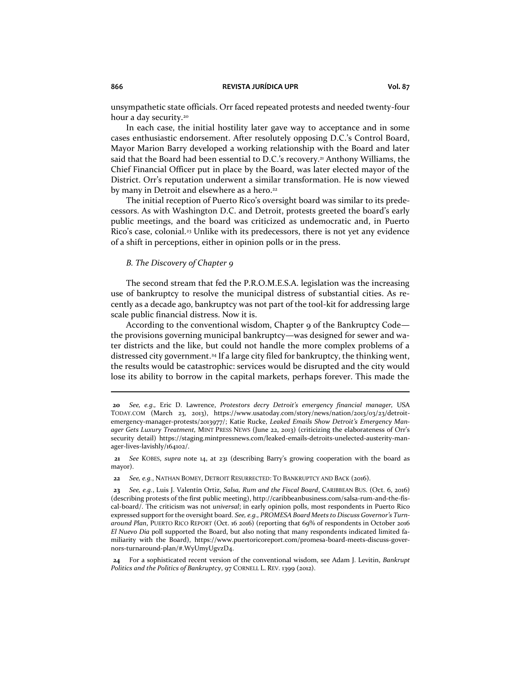unsympathetic state officials. Orr faced repeated protests and needed twenty-four hour a day security.<sup>20</sup>

In each case, the initial hostility later gave way to acceptance and in some cases enthusiastic endorsement. After resolutely opposing D.C.'s Control Board, Mayor Marion Barry developed a working relationship with the Board and later said that the Board had been essential to D.C.'s recovery.<sup>21</sup> Anthony Williams, the Chief Financial Officer put in place by the Board, was later elected mayor of the District. Orr's reputation underwent a similar transformation. He is now viewed by many in Detroit and elsewhere as a hero.<sup>22</sup>

The initial reception of Puerto Rico's oversight board was similar to its predecessors. As with Washington D.C. and Detroit, protests greeted the board's early public meetings, and the board was criticized as undemocratic and, in Puerto Rico's case, colonial.<sup>23</sup> Unlike with its predecessors, there is not yet any evidence of a shift in perceptions, either in opinion polls or in the press.

## *B. The Discovery of Chapter 9*

The second stream that fed the P.R.O.M.E.S.A. legislation was the increasing use of bankruptcy to resolve the municipal distress of substantial cities. As recently as a decade ago, bankruptcy was not part of the tool-kit for addressing large scale public financial distress. Now it is.

According to the conventional wisdom, Chapter 9 of the Bankruptcy Code the provisions governing municipal bankruptcy—was designed for sewer and water districts and the like, but could not handle the more complex problems of a distressed city government.<sup>24</sup> If a large city filed for bankruptcy, the thinking went, the results would be catastrophic: services would be disrupted and the city would lose its ability to borrow in the capital markets, perhaps forever. This made the

**21** *See* KOBES, *supra* note [14](#page-3-0), at 231 (describing Barry's growing cooperation with the board as mayor).

**22** *See, e.g.*, NATHAN BOMEY, DETROIT RESURRECTED: TO BANKRUPTCY AND BACK (2016).

**24** For a sophisticated recent version of the conventional wisdom, see Adam J. Levitin, *Bankrupt Politics and the Politics of Bankruptcy*, 97 CORNELL L. REV. 1399 (2012).

**<sup>20</sup>** *See, e.g.,* Eric D. Lawrence, *Protestors decry Detroit's emergency financial manager,* USA TODAY.COM (March 23, 2013), https://www.usatoday.com/story/news/nation/2013/03/23/detroitemergency-manager-protests/2013977/; Katie Rucke, *Leaked Emails Show Detroit's Emergency Manager Gets Luxury Treatment,* MINT PRESS NEWS (June 22, 2013) (criticizing the elaborateness of Orr's security detail) https://staging.mintpressnews.com/leaked-emails-detroits-unelected-austerity-manager-lives-lavishly/164102/.

**<sup>23</sup>** *See, e.g.*, Luis J. Valentín Ortiz, *Salsa, Rum and the Fiscal Board*, CARIBBEAN BUS. (Oct. 6, 2016) (describing protests of the first public meeting), http://caribbeanbusiness.com/salsa-rum-and-the-fiscal-board/. The criticism was not *universal*; in early opinion polls, most respondents in Puerto Rico expressed support for the oversight board. *See, e.g., PROMESA Board Meets to Discuss Governor's Turnaround Plan*, PUERTO RICO REPORT (Oct. 16 2016) (reporting that 69% of respondents in October 2016 *El Nuevo Dia* poll supported the Board, but also noting that many respondents indicated limited familiarity with the Board), https://www.puertoricoreport.com/promesa-board-meets-discuss-governors-turnaround-plan/#.WyUmyUgvzD4.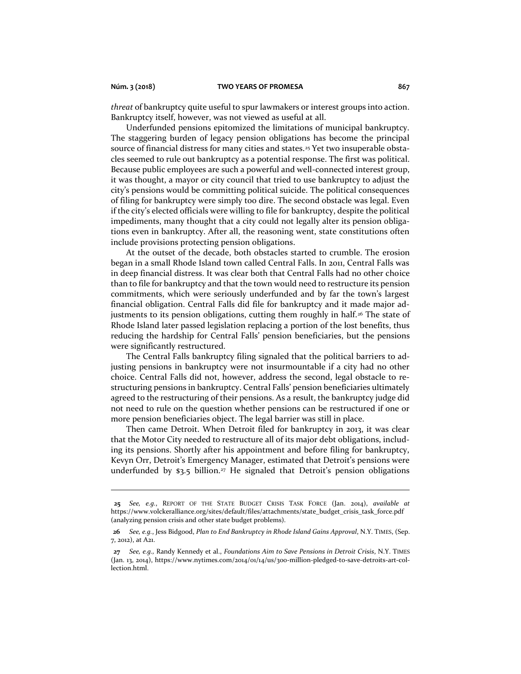*threat* of bankruptcy quite useful to spur lawmakers or interest groups into action. Bankruptcy itself, however, was not viewed as useful at all.

Underfunded pensions epitomized the limitations of municipal bankruptcy. The staggering burden of legacy pension obligations has become the principal source of financial distress for many cities and states.<sup>25</sup> Yet two insuperable obstacles seemed to rule out bankruptcy as a potential response. The first was political. Because public employees are such a powerful and well-connected interest group, it was thought, a mayor or city council that tried to use bankruptcy to adjust the city's pensions would be committing political suicide. The political consequences of filing for bankruptcy were simply too dire. The second obstacle was legal. Even if the city's elected officials were willing to file for bankruptcy, despite the political impediments, many thought that a city could not legally alter its pension obligations even in bankruptcy. After all, the reasoning went, state constitutions often include provisions protecting pension obligations.

At the outset of the decade, both obstacles started to crumble. The erosion began in a small Rhode Island town called Central Falls. In 2011, Central Falls was in deep financial distress. It was clear both that Central Falls had no other choice than to file for bankruptcy and that the town would need to restructure its pension commitments, which were seriously underfunded and by far the town's largest financial obligation. Central Falls did file for bankruptcy and it made major adjustments to its pension obligations, cutting them roughly in half.<sup>26</sup> The state of Rhode Island later passed legislation replacing a portion of the lost benefits, thus reducing the hardship for Central Falls' pension beneficiaries, but the pensions were significantly restructured.

The Central Falls bankruptcy filing signaled that the political barriers to adjusting pensions in bankruptcy were not insurmountable if a city had no other choice. Central Falls did not, however, address the second, legal obstacle to restructuring pensions in bankruptcy. Central Falls' pension beneficiaries ultimately agreed to the restructuring of their pensions. As a result, the bankruptcy judge did not need to rule on the question whether pensions can be restructured if one or more pension beneficiaries object. The legal barrier was still in place.

Then came Detroit. When Detroit filed for bankruptcy in 2013, it was clear that the Motor City needed to restructure all of its major debt obligations, including its pensions. Shortly after his appointment and before filing for bankruptcy, Kevyn Orr, Detroit's Emergency Manager, estimated that Detroit's pensions were underfunded by  $\mathfrak{s}_3$ .5 billion.<sup>27</sup> He signaled that Detroit's pension obligations

**25** *See, e.g.*, REPORT OF THE STATE BUDGET CRISIS TASK FORCE (Jan. 2014), *available at* https://www.volckeralliance.org/sites/default/files/attachments/state\_budget\_crisis\_task\_force.pdf (analyzing pension crisis and other state budget problems).

**<sup>26</sup>** *See, e.g.*, Jess Bidgood, *Plan to End Bankruptcy in Rhode Island Gains Approval*, N.Y. TIMES, (Sep. 7, 2012), at A21.

**<sup>27</sup>** *See, e.g.,* Randy Kennedy et al., *Foundations Aim to Save Pensions in Detroit Crisis*, N.Y. TIMES (Jan. 13, 2014), https://www.nytimes.com/2014/01/14/us/300-million-pledged-to-save-detroits-art-collection.html.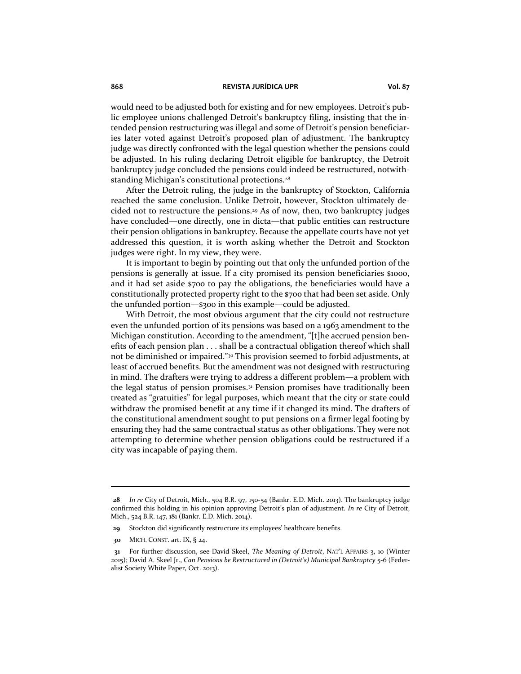would need to be adjusted both for existing and for new employees. Detroit's public employee unions challenged Detroit's bankruptcy filing, insisting that the intended pension restructuring was illegal and some of Detroit's pension beneficiaries later voted against Detroit's proposed plan of adjustment. The bankruptcy judge was directly confronted with the legal question whether the pensions could be adjusted. In his ruling declaring Detroit eligible for bankruptcy, the Detroit bankruptcy judge concluded the pensions could indeed be restructured, notwithstanding Michigan's constitutional protections.<sup>28</sup>

After the Detroit ruling, the judge in the bankruptcy of Stockton, California reached the same conclusion. Unlike Detroit, however, Stockton ultimately decided not to restructure the pensions.<sup>29</sup> As of now, then, two bankruptcy judges have concluded—one directly, one in dicta—that public entities can restructure their pension obligations in bankruptcy. Because the appellate courts have not yet addressed this question, it is worth asking whether the Detroit and Stockton judges were right. In my view, they were.

It is important to begin by pointing out that only the unfunded portion of the pensions is generally at issue. If a city promised its pension beneficiaries \$1000, and it had set aside \$700 to pay the obligations, the beneficiaries would have a constitutionally protected property right to the \$700 that had been set aside. Only the unfunded portion—\$300 in this example—could be adjusted.

With Detroit, the most obvious argument that the city could not restructure even the unfunded portion of its pensions was based on a 1963 amendment to the Michigan constitution. According to the amendment, "[t]he accrued pension benefits of each pension plan . . . shall be a contractual obligation thereof which shall not be diminished or impaired."<sup>30</sup> This provision seemed to forbid adjustments, at least of accrued benefits. But the amendment was not designed with restructuring in mind. The drafters were trying to address a different problem—a problem with the legal status of pension promises.<sup>31</sup> Pension promises have traditionally been treated as "gratuities" for legal purposes, which meant that the city or state could withdraw the promised benefit at any time if it changed its mind. The drafters of the constitutional amendment sought to put pensions on a firmer legal footing by ensuring they had the same contractual status as other obligations. They were not attempting to determine whether pension obligations could be restructured if a city was incapable of paying them.

**<sup>28</sup>** *In re* City of Detroit, Mich., 504 B.R. 97, 150-54 (Bankr. E.D. Mich. 2013). The bankruptcy judge confirmed this holding in his opinion approving Detroit's plan of adjustment. *In re* City of Detroit, Mich., 524 B.R. 147, 181 (Bankr. E.D. Mich. 2014).

**<sup>29</sup>** Stockton did significantly restructure its employees' healthcare benefits.

**30** MICH. CONST. art. IX, § 24.

**<sup>31</sup>** For further discussion, see David Skeel, *The Meaning of Detroit*, NAT'L AFFAIRS 3, 10 (Winter 2015); David A. Skeel Jr., *Can Pensions be Restructured in (Detroit's) Municipal Bankruptcy* 5-6 (Federalist Society White Paper, Oct. 2013).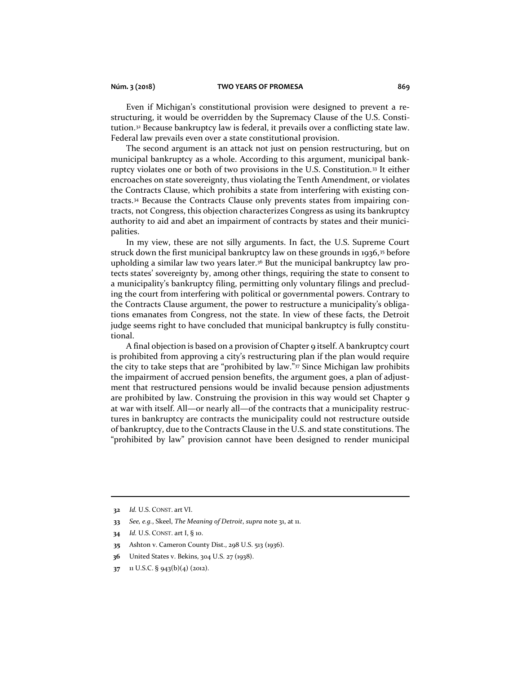Even if Michigan's constitutional provision were designed to prevent a restructuring, it would be overridden by the Supremacy Clause of the U.S. Constitution.<sup>32</sup> Because bankruptcy law is federal, it prevails over a conflicting state law. Federal law prevails even over a state constitutional provision.

The second argument is an attack not just on pension restructuring, but on municipal bankruptcy as a whole. According to this argument, municipal bankruptcy violates one or both of two provisions in the U.S. Constitution.<sup>33</sup> It either encroaches on state sovereignty, thus violating the Tenth Amendment, or violates the Contracts Clause, which prohibits a state from interfering with existing contracts.<sup>34</sup> Because the Contracts Clause only prevents states from impairing contracts, not Congress, this objection characterizes Congress as using its bankruptcy authority to aid and abet an impairment of contracts by states and their municipalities.

In my view, these are not silly arguments. In fact, the U.S. Supreme Court struck down the first municipal bankruptcy law on these grounds in 1936, $35$  before upholding a similar law two years later.<sup>36</sup> But the municipal bankruptcy law protects states' sovereignty by, among other things, requiring the state to consent to a municipality's bankruptcy filing, permitting only voluntary filings and precluding the court from interfering with political or governmental powers. Contrary to the Contracts Clause argument, the power to restructure a municipality's obligations emanates from Congress, not the state. In view of these facts, the Detroit judge seems right to have concluded that municipal bankruptcy is fully constitutional.

A final objection is based on a provision of Chapter 9 itself. A bankruptcy court is prohibited from approving a city's restructuring plan if the plan would require the city to take steps that are "prohibited by law."<sup>37</sup> Since Michigan law prohibits the impairment of accrued pension benefits, the argument goes, a plan of adjustment that restructured pensions would be invalid because pension adjustments are prohibited by law. Construing the provision in this way would set Chapter 9 at war with itself. All—or nearly all—of the contracts that a municipality restructures in bankruptcy are contracts the municipality could not restructure outside of bankruptcy, due to the Contracts Clause in the U.S. and state constitutions. The "prohibited by law" provision cannot have been designed to render municipal

- **34** *Id.* U.S. CONST. art I, § 10.
- **35** Ashton v. Cameron County Dist., 298 U.S. 513 (1936).
- **36** United States v. Bekins, 304 U.S. 27 (1938).
- **37** 11 U.S.C. § 943(b)(4) (2012).

**<sup>32</sup>** *Id.* U.S. CONST. art VI.

**<sup>33</sup>** *See, e.g.*, Skeel, *The Meaning of Detroit*, *supra* note 31, at 11.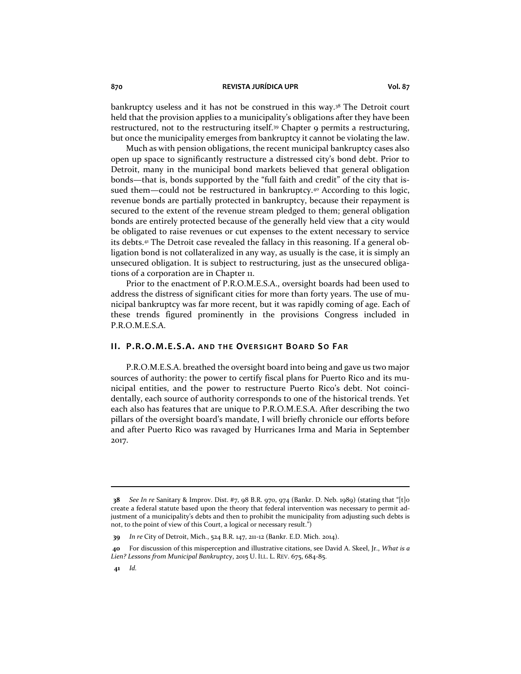bankruptcy useless and it has not be construed in this way.<sup>38</sup> The Detroit court held that the provision applies to a municipality's obligations after they have been restructured, not to the restructuring itself.<sup>39</sup> Chapter 9 permits a restructuring, but once the municipality emerges from bankruptcy it cannot be violating the law.

Much as with pension obligations, the recent municipal bankruptcy cases also open up space to significantly restructure a distressed city's bond debt. Prior to Detroit, many in the municipal bond markets believed that general obligation bonds—that is, bonds supported by the "full faith and credit" of the city that issued them—could not be restructured in bankruptcy.<sup>40</sup> According to this logic, revenue bonds are partially protected in bankruptcy, because their repayment is secured to the extent of the revenue stream pledged to them; general obligation bonds are entirely protected because of the generally held view that a city would be obligated to raise revenues or cut expenses to the extent necessary to service its debts.<sup>41</sup> The Detroit case revealed the fallacy in this reasoning. If a general obligation bond is not collateralized in any way, as usually is the case, it is simply an unsecured obligation. It is subject to restructuring, just as the unsecured obligations of a corporation are in Chapter 11.

Prior to the enactment of P.R.O.M.E.S.A., oversight boards had been used to address the distress of significant cities for more than forty years. The use of municipal bankruptcy was far more recent, but it was rapidly coming of age. Each of these trends figured prominently in the provisions Congress included in P.R.O.M.E.S.A.

# **II. P.R.O.M.E.S.A.** AND THE OVERSIGHT BOARD SO FAR

P.R.O.M.E.S.A. breathed the oversight board into being and gave us two major sources of authority: the power to certify fiscal plans for Puerto Rico and its municipal entities, and the power to restructure Puerto Rico's debt. Not coincidentally, each source of authority corresponds to one of the historical trends. Yet each also has features that are unique to P.R.O.M.E.S.A. After describing the two pillars of the oversight board's mandate, I will briefly chronicle our efforts before and after Puerto Rico was ravaged by Hurricanes Irma and Maria in September 2017.

**<sup>38</sup>** *See In re* Sanitary & Improv. Dist. #7, 98 B.R. 970, 974 (Bankr. D. Neb. 1989) (stating that "[t]o create a federal statute based upon the theory that federal intervention was necessary to permit adjustment of a municipality's debts and then to prohibit the municipality from adjusting such debts is not, to the point of view of this Court, a logical or necessary result.")

**<sup>39</sup>** *In re* City of Detroit, Mich., 524 B.R. 147, 211-12 (Bankr. E.D. Mich. 2014).

**<sup>40</sup>** For discussion of this misperception and illustrative citations, see David A. Skeel, Jr., *What is a Lien? Lessons from Municipal Bankruptcy*, 2015 U. ILL. L. REV. 675, 684-85.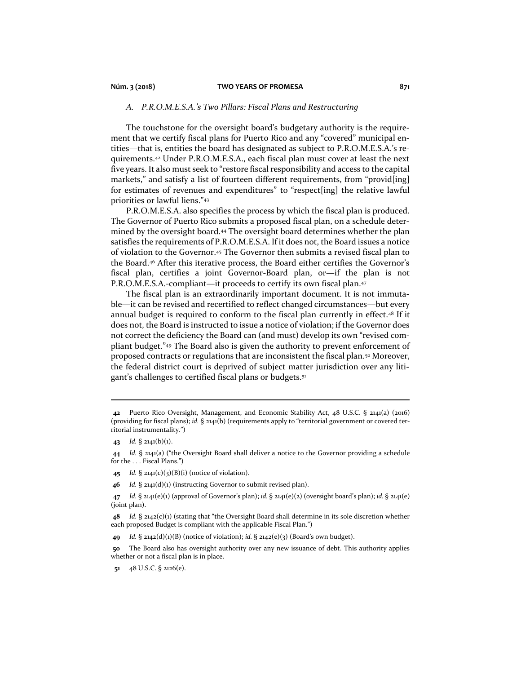## **Núm. 3 (2018) TWO YEARS OF PROMESA 871**

## *A. P.R.O.M.E.S.A.'s Two Pillars: Fiscal Plans and Restructuring*

The touchstone for the oversight board's budgetary authority is the requirement that we certify fiscal plans for Puerto Rico and any "covered" municipal entities—that is, entities the board has designated as subject to P.R.O.M.E.S.A.'s requirements.<sup>42</sup> Under P.R.O.M.E.S.A., each fiscal plan must cover at least the next five years. It also must seek to "restore fiscal responsibility and access to the capital markets," and satisfy a list of fourteen different requirements, from "provid[ing] for estimates of revenues and expenditures" to "respect[ing] the relative lawful priorities or lawful liens."<sup>43</sup>

P.R.O.M.E.S.A. also specifies the process by which the fiscal plan is produced. The Governor of Puerto Rico submits a proposed fiscal plan, on a schedule determined by the oversight board.<sup>44</sup> The oversight board determines whether the plan satisfies the requirements of P.R.O.M.E.S.A. If it does not, the Board issues a notice of violation to the Governor.<sup>45</sup> The Governor then submits a revised fiscal plan to the Board.<sup>46</sup> After this iterative process, the Board either certifies the Governor's fiscal plan, certifies a joint Governor-Board plan, or—if the plan is not P.R.O.M.E.S.A.-compliant—it proceeds to certify its own fiscal plan.<sup>47</sup>

The fiscal plan is an extraordinarily important document. It is not immutable—it can be revised and recertified to reflect changed circumstances—but every annual budget is required to conform to the fiscal plan currently in effect.<sup>48</sup> If it does not, the Board is instructed to issue a notice of violation; if the Governor does not correct the deficiency the Board can (and must) develop its own "revised compliant budget."<sup>49</sup> The Board also is given the authority to prevent enforcement of proposed contracts or regulations that are inconsistent the fiscal plan.<sup>50</sup> Moreover, the federal district court is deprived of subject matter jurisdiction over any litigant's challenges to certified fiscal plans or budgets.<sup>51</sup>

**<sup>42</sup>** Puerto Rico Oversight, Management, and Economic Stability Act, 48 U.S.C. § 2141(a) (2016) (providing for fiscal plans); *id.* § 2141(b) (requirements apply to "territorial government or covered territorial instrumentality.")

**<sup>43</sup>** *Id.* § 2141(b)(1).

**<sup>44</sup>** *Id.* § 2141(a) ("the Oversight Board shall deliver a notice to the Governor providing a schedule for the . . . Fiscal Plans.")

**<sup>45</sup>** *Id.* § 2141(c)(3)(B)(i) (notice of violation).

**<sup>46</sup>** *Id.* § 2141(d)(1) (instructing Governor to submit revised plan).

**<sup>47</sup>** *Id.* § 2141(e)(1) (approval of Governor's plan); *id.* § 2141(e)(2) (oversight board's plan); *id.* § 2141(e) (joint plan).

**<sup>48</sup>** *Id.* § 2142(c)(1) (stating that "the Oversight Board shall determine in its sole discretion whether each proposed Budget is compliant with the applicable Fiscal Plan.")

**<sup>49</sup>** *Id.* § 2142(d)(1)(B) (notice of violation); *id.* § 2142(e)(3) (Board's own budget).

**<sup>50</sup>** The Board also has oversight authority over any new issuance of debt. This authority applies whether or not a fiscal plan is in place.

**<sup>51</sup>** 48 U.S.C. § 2126(e).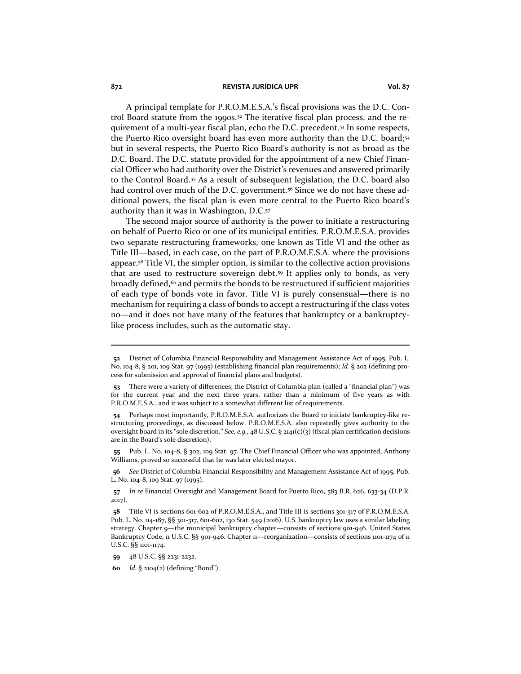A principal template for P.R.O.M.E.S.A.'s fiscal provisions was the D.C. Control Board statute from the 1990s.<sup>52</sup> The iterative fiscal plan process, and the requirement of a multi-year fiscal plan, echo the D.C. precedent.<sup>53</sup> In some respects, the Puerto Rico oversight board has even more authority than the D.C. board;<sup>54</sup> but in several respects, the Puerto Rico Board's authority is not as broad as the D.C. Board. The D.C. statute provided for the appointment of a new Chief Financial Officer who had authority over the District's revenues and answered primarily to the Control Board.<sup>55</sup> As a result of subsequent legislation, the D.C. board also had control over much of the D.C. government.<sup>56</sup> Since we do not have these additional powers, the fiscal plan is even more central to the Puerto Rico board's authority than it was in Washington, D.C.<sup>57</sup>

The second major source of authority is the power to initiate a restructuring on behalf of Puerto Rico or one of its municipal entities. P.R.O.M.E.S.A. provides two separate restructuring frameworks, one known as Title VI and the other as Title III—based, in each case, on the part of P.R.O.M.E.S.A. where the provisions appear.<sup>58</sup> Title VI, the simpler option, is similar to the collective action provisions that are used to restructure sovereign debt.<sup>59</sup> It applies only to bonds, as very broadly defined, $60$  and permits the bonds to be restructured if sufficient majorities of each type of bonds vote in favor. Title VI is purely consensual—there is no mechanism for requiring a class of bonds to accept a restructuring if the class votes no—and it does not have many of the features that bankruptcy or a bankruptcylike process includes, such as the automatic stay.

**55** Pub. L. No. 104-8, § 302, 109 Stat. 97. The Chief Financial Officer who was appointed, Anthony Williams, proved so successful that he was later elected mayor.

**56** *See* District of Columbia Financial Responsibility and Management Assistance Act of 1995, Pub. L. No. 104-8, 109 Stat. 97 (1995).

**<sup>52</sup>** District of Columbia Financial Responsibility and Management Assistance Act of 1995, Pub. L. No. 104-8, § 201, 109 Stat. 97 (1995) (establishing financial plan requirements); *Id.* § 202 (defining process for submission and approval of financial plans and budgets).

**<sup>53</sup>** There were a variety of differences; the District of Columbia plan (called a "financial plan") was for the current year and the next three years, rather than a minimum of five years as with P.R.O.M.E.S.A., and it was subject to a somewhat different list of requirements.

**<sup>54</sup>** Perhaps most importantly, P.R.O.M.E.S.A. authorizes the Board to initiate bankruptcy-like restructuring proceedings, as discussed below. P.R.O.M.E.S.A. also repeatedly gives authority to the oversight board in its "sole discretion." *See, e.g.,* 48 U.S.C. § 2141(c)(3) (fiscal plan certification decisions are in the Board's sole discretion).

**<sup>57</sup>** *In re* Financial Oversight and Management Board for Puerto Rico, 583 B.R. 626, 633-34 (D.P.R. 2017).

**<sup>58</sup>** Title VI is sections 601-602 of P.R.O.M.E.S.A., and Title III is sections 301-317 of P.R.O.M.E.S.A. Pub. L. No. 114-187, §§ 301-317, 601-602, 130 Stat. 549 (2016). U.S. bankruptcy law uses a similar labeling strategy. Chapter 9—the municipal bankruptcy chapter—consists of sections 901-946. United States Bankruptcy Code, 11 U.S.C. §§ 901-946. Chapter 11—reorganization—consists of sections 1101-1174 of 11 U.S.C. §§ 1101-1174.

**<sup>59</sup>** 48 U.S.C. §§ 2231-2232.

**<sup>60</sup>** *Id.* § 2104(2) (defining "Bond").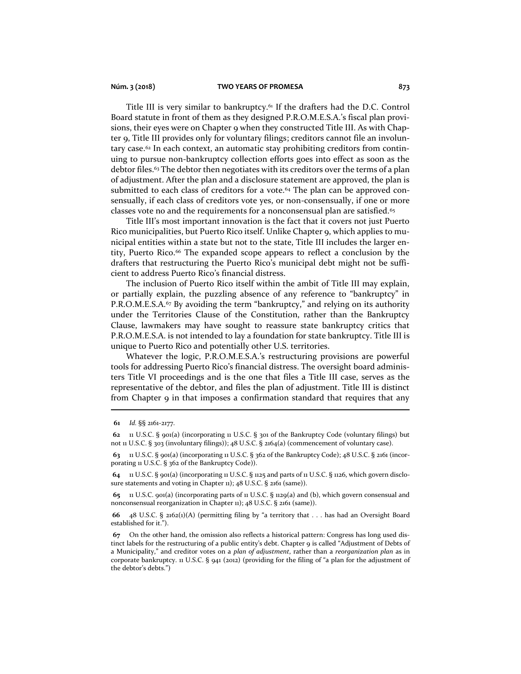## **Núm. 3 (2018) TWO YEARS OF PROMESA 873**

Title III is very similar to bankruptcy.<sup>61</sup> If the drafters had the D.C. Control Board statute in front of them as they designed P.R.O.M.E.S.A.'s fiscal plan provisions, their eyes were on Chapter 9 when they constructed Title III. As with Chapter 9, Title III provides only for voluntary filings; creditors cannot file an involuntary case.<sup>62</sup> In each context, an automatic stay prohibiting creditors from continuing to pursue non-bankruptcy collection efforts goes into effect as soon as the debtor files.<sup>63</sup> The debtor then negotiates with its creditors over the terms of a plan of adjustment. After the plan and a disclosure statement are approved, the plan is submitted to each class of creditors for a vote.<sup>64</sup> The plan can be approved consensually, if each class of creditors vote yes, or non-consensually, if one or more classes vote no and the requirements for a nonconsensual plan are satisfied.<sup>65</sup>

Title III's most important innovation is the fact that it covers not just Puerto Rico municipalities, but Puerto Rico itself. Unlike Chapter 9, which applies to municipal entities within a state but not to the state, Title III includes the larger entity, Puerto Rico.<sup>66</sup> The expanded scope appears to reflect a conclusion by the drafters that restructuring the Puerto Rico's municipal debt might not be sufficient to address Puerto Rico's financial distress.

The inclusion of Puerto Rico itself within the ambit of Title III may explain, or partially explain, the puzzling absence of any reference to "bankruptcy" in P.R.O.M.E.S.A.<sup>67</sup> By avoiding the term "bankruptcy," and relying on its authority under the Territories Clause of the Constitution, rather than the Bankruptcy Clause, lawmakers may have sought to reassure state bankruptcy critics that P.R.O.M.E.S.A. is not intended to lay a foundation for state bankruptcy. Title III is unique to Puerto Rico and potentially other U.S. territories.

Whatever the logic, P.R.O.M.E.S.A.'s restructuring provisions are powerful tools for addressing Puerto Rico's financial distress. The oversight board administers Title VI proceedings and is the one that files a Title III case, serves as the representative of the debtor, and files the plan of adjustment. Title III is distinct from Chapter 9 in that imposes a confirmation standard that requires that any

**<sup>61</sup>** *Id.* §§ 2161-2177.

**<sup>62</sup>** 11 U.S.C. § 901(a) (incorporating 11 U.S.C. § 301 of the Bankruptcy Code (voluntary filings) but not 11 U.S.C. § 303 (involuntary filings)); 48 U.S.C. § 2164(a) (commencement of voluntary case).

**<sup>63</sup>** 11 U.S.C. § 901(a) (incorporating 11 U.S.C. § 362 of the Bankruptcy Code); 48 U.S.C. § 2161 (incorporating 11 U.S.C. § 362 of the Bankruptcy Code)).

**<sup>64</sup>** 11 U.S.C. § 901(a) (incorporating 11 U.S.C. § 1125 and parts of 11 U.S.C. § 1126, which govern disclosure statements and voting in Chapter 11); 48 U.S.C. § 2161 (same)).

**<sup>65</sup>** 11 U.S.C. 901(a) (incorporating parts of 11 U.S.C. § 1129(a) and (b), which govern consensual and nonconsensual reorganization in Chapter 11); 48 U.S.C. § 2161 (same)).

**<sup>66</sup>** 48 U.S.C. § 2162(1)(A) (permitting filing by "a territory that . . . has had an Oversight Board established for it.").

**<sup>67</sup>** On the other hand, the omission also reflects a historical pattern: Congress has long used distinct labels for the restructuring of a public entity's debt. Chapter 9 is called "Adjustment of Debts of a Municipality," and creditor votes on a *plan of adjustment*, rather than a *reorganization plan* as in corporate bankruptcy. 11 U.S.C. § 941 (2012) (providing for the filing of "a plan for the adjustment of the debtor's debts.")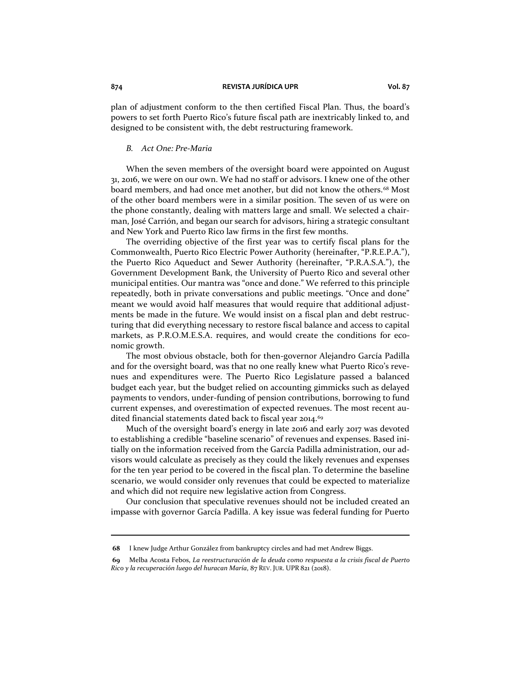plan of adjustment conform to the then certified Fiscal Plan. Thus, the board's powers to set forth Puerto Rico's future fiscal path are inextricably linked to, and designed to be consistent with, the debt restructuring framework.

## *B. Act One: Pre-Maria*

When the seven members of the oversight board were appointed on August 31, 2016, we were on our own. We had no staff or advisors. I knew one of the other board members, and had once met another, but did not know the others.<sup>68</sup> Most of the other board members were in a similar position. The seven of us were on the phone constantly, dealing with matters large and small. We selected a chairman, José Carrión, and began our search for advisors, hiring a strategic consultant and New York and Puerto Rico law firms in the first few months.

The overriding objective of the first year was to certify fiscal plans for the Commonwealth, Puerto Rico Electric Power Authority (hereinafter, "P.R.E.P.A."), the Puerto Rico Aqueduct and Sewer Authority (hereinafter, "P.R.A.S.A."), the Government Development Bank, the University of Puerto Rico and several other municipal entities. Our mantra was "once and done." We referred to this principle repeatedly, both in private conversations and public meetings. "Once and done" meant we would avoid half measures that would require that additional adjustments be made in the future. We would insist on a fiscal plan and debt restructuring that did everything necessary to restore fiscal balance and access to capital markets, as P.R.O.M.E.S.A. requires, and would create the conditions for economic growth.

The most obvious obstacle, both for then-governor Alejandro García Padilla and for the oversight board, was that no one really knew what Puerto Rico's revenues and expenditures were. The Puerto Rico Legislature passed a balanced budget each year, but the budget relied on accounting gimmicks such as delayed payments to vendors, under-funding of pension contributions, borrowing to fund current expenses, and overestimation of expected revenues. The most recent audited financial statements dated back to fiscal year 2014.<sup>69</sup>

Much of the oversight board's energy in late 2016 and early 2017 was devoted to establishing a credible "baseline scenario" of revenues and expenses. Based initially on the information received from the García Padilla administration, our advisors would calculate as precisely as they could the likely revenues and expenses for the ten year period to be covered in the fiscal plan. To determine the baseline scenario, we would consider only revenues that could be expected to materialize and which did not require new legislative action from Congress.

Our conclusion that speculative revenues should not be included created an impasse with governor García Padilla. A key issue was federal funding for Puerto

**<sup>68</sup>** I knew Judge Arthur González from bankruptcy circles and had met Andrew Biggs.

**<sup>69</sup>** Melba Acosta Febos, *La reestructuración de la deuda como respuesta a la crisis fiscal de Puerto Rico y la recuperación luego del huracan María*, 87 REV. JUR. UPR 821 (2018).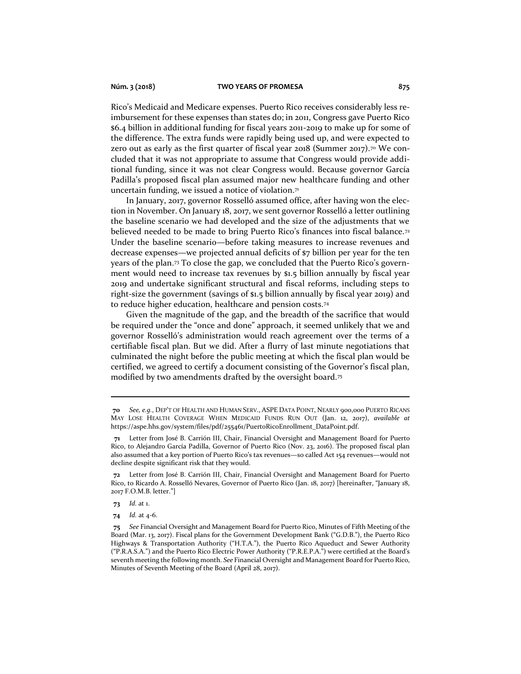## **Núm. 3 (2018) TWO YEARS OF PROMESA 875**

Rico's Medicaid and Medicare expenses. Puerto Rico receives considerably less reimbursement for these expenses than states do; in 2011, Congress gave Puerto Rico \$6.4 billion in additional funding for fiscal years 2011-2019 to make up for some of the difference. The extra funds were rapidly being used up, and were expected to zero out as early as the first quarter of fiscal year 2018 (Summer 2017).<sup>70</sup> We concluded that it was not appropriate to assume that Congress would provide additional funding, since it was not clear Congress would. Because governor García Padilla's proposed fiscal plan assumed major new healthcare funding and other uncertain funding, we issued a notice of violation. $7<sup>1</sup>$ 

In January, 2017, governor Rosselló assumed office, after having won the election in November. On January 18, 2017, we sent governor Rosselló a letter outlining the baseline scenario we had developed and the size of the adjustments that we believed needed to be made to bring Puerto Rico's finances into fiscal balance.<sup>72</sup> Under the baseline scenario—before taking measures to increase revenues and decrease expenses—we projected annual deficits of \$7 billion per year for the ten years of the plan.<sup>73</sup> To close the gap, we concluded that the Puerto Rico's government would need to increase tax revenues by \$1.5 billion annually by fiscal year 2019 and undertake significant structural and fiscal reforms, including steps to right-size the government (savings of \$1.5 billion annually by fiscal year 2019) and to reduce higher education, healthcare and pension costs.<sup>74</sup>

Given the magnitude of the gap, and the breadth of the sacrifice that would be required under the "once and done" approach, it seemed unlikely that we and governor Rosselló's administration would reach agreement over the terms of a certifiable fiscal plan. But we did. After a flurry of last minute negotiations that culminated the night before the public meeting at which the fiscal plan would be certified, we agreed to certify a document consisting of the Governor's fiscal plan, modified by two amendments drafted by the oversight board.<sup>75</sup>

**73** *Id.* at 1.

**74** *Id.* at 4-6.

**<sup>70</sup>** *See, e.g.*, DEP'T OF HEALTH AND HUMAN SERV., ASPE DATA POINT, NEARLY 900,000 PUERTO RICANS MAY LOSE HEALTH COVERAGE WHEN MEDICAID FUNDS RUN OUT (Jan. 12, 2017), *available at*  https://aspe.hhs.gov/system/files/pdf/255461/PuertoRicoEnrollment\_DataPoint.pdf.

**<sup>71</sup>** Letter from José B. Carrión III, Chair, Financial Oversight and Management Board for Puerto Rico, to Alejandro García Padilla, Governor of Puerto Rico (Nov. 23, 2016). The proposed fiscal plan also assumed that a key portion of Puerto Rico's tax revenues—so called Act 154 revenues—would not decline despite significant risk that they would.

**<sup>72</sup>** Letter from José B. Carrión III, Chair, Financial Oversight and Management Board for Puerto Rico, to Ricardo A. Rosselló Nevares, Governor of Puerto Rico (Jan. 18, 2017) [hereinafter, "January 18, 2017 F.O.M.B. letter."]

**<sup>75</sup>** *See* Financial Oversight and Management Board for Puerto Rico, Minutes of Fifth Meeting of the Board (Mar. 13, 2017). Fiscal plans for the Government Development Bank ("G.D.B."), the Puerto Rico Highways & Transportation Authority ("H.T.A."), the Puerto Rico Aqueduct and Sewer Authority ("P.R.A.S.A.") and the Puerto Rico Electric Power Authority ("P.R.E.P.A.") were certified at the Board's seventh meeting the following month. *See* Financial Oversight and Management Board for Puerto Rico, Minutes of Seventh Meeting of the Board (April 28, 2017).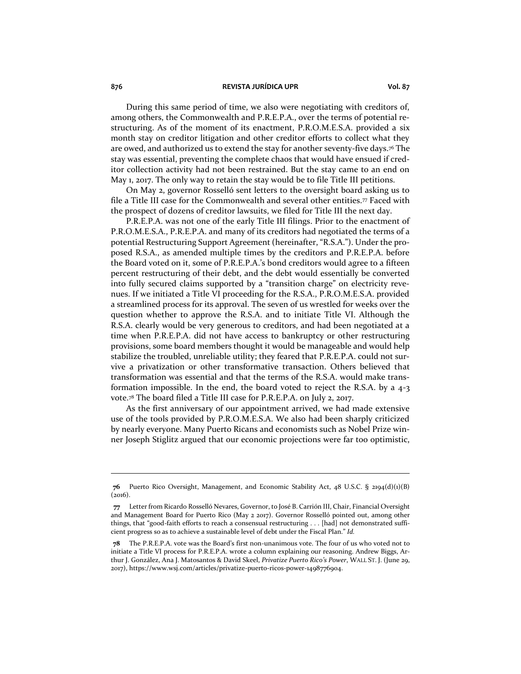During this same period of time, we also were negotiating with creditors of, among others, the Commonwealth and P.R.E.P.A., over the terms of potential restructuring. As of the moment of its enactment, P.R.O.M.E.S.A. provided a six month stay on creditor litigation and other creditor efforts to collect what they are owed, and authorized us to extend the stay for another seventy-five days.<sup>76</sup> The stay was essential, preventing the complete chaos that would have ensued if creditor collection activity had not been restrained. But the stay came to an end on May 1, 2017. The only way to retain the stay would be to file Title III petitions.

On May 2, governor Rosselló sent letters to the oversight board asking us to file a Title III case for the Commonwealth and several other entities.<sup>77</sup> Faced with the prospect of dozens of creditor lawsuits, we filed for Title III the next day.

P.R.E.P.A. was not one of the early Title III filings. Prior to the enactment of P.R.O.M.E.S.A., P.R.E.P.A. and many of its creditors had negotiated the terms of a potential Restructuring Support Agreement (hereinafter, "R.S.A."). Under the proposed R.S.A., as amended multiple times by the creditors and P.R.E.P.A. before the Board voted on it, some of P.R.E.P.A.'s bond creditors would agree to a fifteen percent restructuring of their debt, and the debt would essentially be converted into fully secured claims supported by a "transition charge" on electricity revenues. If we initiated a Title VI proceeding for the R.S.A., P.R.O.M.E.S.A. provided a streamlined process for its approval. The seven of us wrestled for weeks over the question whether to approve the R.S.A. and to initiate Title VI. Although the R.S.A. clearly would be very generous to creditors, and had been negotiated at a time when P.R.E.P.A. did not have access to bankruptcy or other restructuring provisions, some board members thought it would be manageable and would help stabilize the troubled, unreliable utility; they feared that P.R.E.P.A. could not survive a privatization or other transformative transaction. Others believed that transformation was essential and that the terms of the R.S.A. would make transformation impossible. In the end, the board voted to reject the R.S.A. by a 4-3 vote.<sup>78</sup> The board filed a Title III case for P.R.E.P.A. on July 2, 2017.

As the first anniversary of our appointment arrived, we had made extensive use of the tools provided by P.R.O.M.E.S.A. We also had been sharply criticized by nearly everyone. Many Puerto Ricans and economists such as Nobel Prize winner Joseph Stiglitz argued that our economic projections were far too optimistic,

**<sup>76</sup>** Puerto Rico Oversight, Management, and Economic Stability Act, 48 U.S.C. § 2194(d)(1)(B)  $(2016).$ 

**<sup>77</sup>** Letter from Ricardo Rosselló Nevares, Governor, to José B. Carrión III, Chair, Financial Oversight and Management Board for Puerto Rico (May 2 2017). Governor Rosselló pointed out, among other things, that "good-faith efforts to reach a consensual restructuring . . . [had] not demonstrated sufficient progress so as to achieve a sustainable level of debt under the Fiscal Plan." *Id.*

**<sup>78</sup>** The P.R.E.P.A. vote was the Board's first non-unanimous vote. The four of us who voted not to initiate a Title VI process for P.R.E.P.A. wrote a column explaining our reasoning. Andrew Biggs, Arthur J. González, Ana J. Matosantos & David Skeel, *Privatize Puerto Rico's Power*, WALL ST. J. (June 29, 2017), https://www.wsj.com/articles/privatize-puerto-ricos-power-1498776904.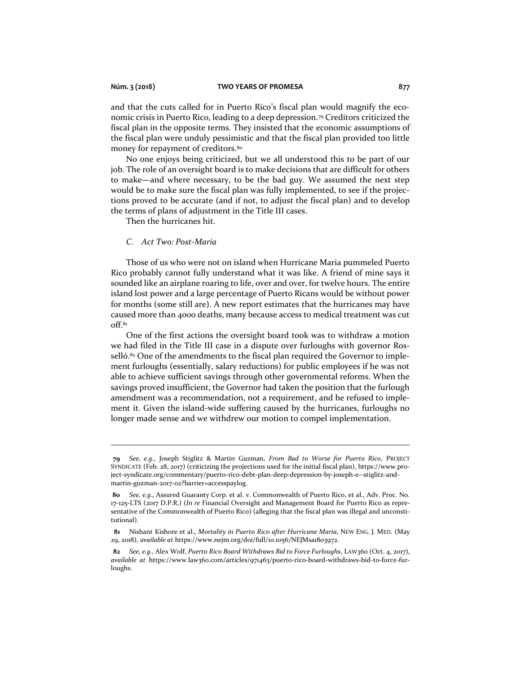and that the cuts called for in Puerto Rico's fiscal plan would magnify the economic crisis in Puerto Rico, leading to a deep depression.<sup>79</sup> Creditors criticized the fiscal plan in the opposite terms. They insisted that the economic assumptions of the fiscal plan were unduly pessimistic and that the fiscal plan provided too little money for repayment of creditors.<sup>80</sup>

No one enjoys being criticized, but we all understood this to be part of our job. The role of an oversight board is to make decisions that are difficult for others to make—and where necessary, to be the bad guy. We assumed the next step would be to make sure the fiscal plan was fully implemented, to see if the projections proved to be accurate (and if not, to adjust the fiscal plan) and to develop the terms of plans of adjustment in the Title III cases.

Then the hurricanes hit.

## *C. Act Two: Post-Maria*

Those of us who were not on island when Hurricane Maria pummeled Puerto Rico probably cannot fully understand what it was like. A friend of mine says it sounded like an airplane roaring to life, over and over, for twelve hours. The entire island lost power and a large percentage of Puerto Ricans would be without power for months (some still are). A new report estimates that the hurricanes may have caused more than 4000 deaths, many because access to medical treatment was cut off.<sup>81</sup>

One of the first actions the oversight board took was to withdraw a motion we had filed in the Title III case in a dispute over furloughs with governor Rosselló.<sup>82</sup> One of the amendments to the fiscal plan required the Governor to implement furloughs (essentially, salary reductions) for public employees if he was not able to achieve sufficient savings through other governmental reforms. When the savings proved insufficient, the Governor had taken the position that the furlough amendment was a recommendation, not a requirement, and he refused to implement it. Given the island-wide suffering caused by the hurricanes, furloughs no longer made sense and we withdrew our motion to compel implementation.

**<sup>79</sup>** *See, e.g.*, Joseph Stiglitz & Martin Guzman, *From Bad to Worse for Puerto Rico*, PROJECT SYNDICATE (Feb. 28, 2017) (criticizing the projections used for the initial fiscal plan), https://www.project-syndicate.org/commentary/puerto-rico-debt-plan-deep-depression-by-joseph-e--stiglitz-andmartin-guzman-2017-02?barrier=accesspaylog.

**<sup>80</sup>** *See, e.g.,* Assured Guaranty Corp. et al. v. Commonwealth of Puerto Rico, et al., Adv. Proc. No. 17-125-LTS (2017 D.P.R.) (*In re* Financial Oversight and Management Board for Puerto Rico as representative of the Commonwealth of Puerto Rico) (alleging that the fiscal plan was illegal and unconstitutional).

**<sup>81</sup>** Nishant Kishore et al., *Mortality in Puerto Rico after Hurricane Maria*, NEW ENG. J. MED. (May 29, 2018), *available at* https://www.nejm.org/doi/full/10.1056/NEJMsa1803972.

**<sup>82</sup>** *See, e.g.,* Alex Wolf, *Puerto Rico Board Withdraws Bid to Force Furloughs*, LAW360 (Oct. 4, 2017), *available at* https://www.law360.com/articles/971463/puerto-rico-board-withdraws-bid-to-force-furloughs.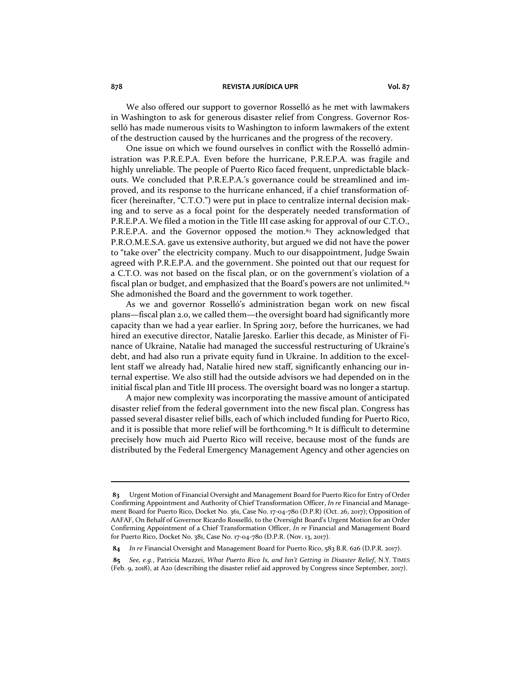We also offered our support to governor Rosselló as he met with lawmakers in Washington to ask for generous disaster relief from Congress. Governor Rosselló has made numerous visits to Washington to inform lawmakers of the extent of the destruction caused by the hurricanes and the progress of the recovery.

One issue on which we found ourselves in conflict with the Rosselló administration was P.R.E.P.A. Even before the hurricane, P.R.E.P.A. was fragile and highly unreliable. The people of Puerto Rico faced frequent, unpredictable blackouts. We concluded that P.R.E.P.A.'s governance could be streamlined and improved, and its response to the hurricane enhanced, if a chief transformation officer (hereinafter, "C.T.O.") were put in place to centralize internal decision making and to serve as a focal point for the desperately needed transformation of P.R.E.P.A. We filed a motion in the Title III case asking for approval of our C.T.O., P.R.E.P.A. and the Governor opposed the motion.<sup>83</sup> They acknowledged that P.R.O.M.E.S.A. gave us extensive authority, but argued we did not have the power to "take over" the electricity company. Much to our disappointment, Judge Swain agreed with P.R.E.P.A. and the government. She pointed out that our request for a C.T.O. was not based on the fiscal plan, or on the government's violation of a fiscal plan or budget, and emphasized that the Board's powers are not unlimited.<sup>84</sup> She admonished the Board and the government to work together.

As we and governor Rosselló's administration began work on new fiscal plans—fiscal plan 2.0, we called them—the oversight board had significantly more capacity than we had a year earlier. In Spring 2017, before the hurricanes, we had hired an executive director, Natalie Jaresko. Earlier this decade, as Minister of Finance of Ukraine, Natalie had managed the successful restructuring of Ukraine's debt, and had also run a private equity fund in Ukraine. In addition to the excellent staff we already had, Natalie hired new staff, significantly enhancing our internal expertise. We also still had the outside advisors we had depended on in the initial fiscal plan and Title III process. The oversight board was no longer a startup.

A major new complexity was incorporating the massive amount of anticipated disaster relief from the federal government into the new fiscal plan. Congress has passed several disaster relief bills, each of which included funding for Puerto Rico, and it is possible that more relief will be forthcoming.<sup>85</sup> It is difficult to determine precisely how much aid Puerto Rico will receive, because most of the funds are distributed by the Federal Emergency Management Agency and other agencies on

**<sup>83</sup>** Urgent Motion of Financial Oversight and Management Board for Puerto Rico for Entry of Order Confirming Appointment and Authority of Chief Transformation Officer, *In re* Financial and Management Board for Puerto Rico, Docket No. 361, Case No. 17-04-780 (D.P.R) (Oct. 26, 2017); Opposition of AAFAF, On Behalf of Governor Ricardo Rosselló, to the Oversight Board's Urgent Motion for an Order Confirming Appointment of a Chief Transformation Officer, *In re* Financial and Management Board for Puerto Rico, Docket No. 381, Case No. 17-04-780 (D.P.R. (Nov. 13, 2017).

**<sup>84</sup>** *In re* Financial Oversight and Management Board for Puerto Rico, 583 B.R. 626 (D.P.R. 2017).

**<sup>85</sup>** *See, e.g.*, Patricia Mazzei, *What Puerto Rico Is, and Isn't Getting in Disaster Relief*, N.Y. TIMES (Feb. 9, 2018), at A20 (describing the disaster relief aid approved by Congress since September, 2017).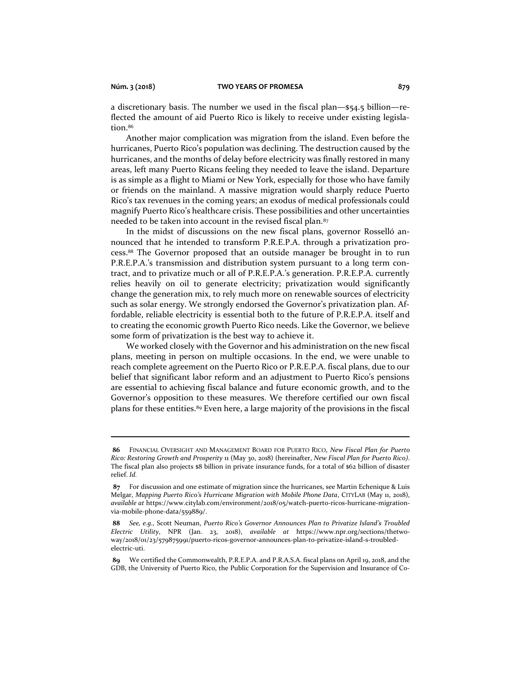a discretionary basis. The number we used in the fiscal plan—\$54.5 billion—reflected the amount of aid Puerto Rico is likely to receive under existing legislation.<sup>86</sup>

Another major complication was migration from the island. Even before the hurricanes, Puerto Rico's population was declining. The destruction caused by the hurricanes, and the months of delay before electricity was finally restored in many areas, left many Puerto Ricans feeling they needed to leave the island. Departure is as simple as a flight to Miami or New York, especially for those who have family or friends on the mainland. A massive migration would sharply reduce Puerto Rico's tax revenues in the coming years; an exodus of medical professionals could magnify Puerto Rico's healthcare crisis. These possibilities and other uncertainties needed to be taken into account in the revised fiscal plan.<sup>87</sup>

In the midst of discussions on the new fiscal plans, governor Rosselló announced that he intended to transform P.R.E.P.A. through a privatization process.<sup>88</sup> The Governor proposed that an outside manager be brought in to run P.R.E.P.A.'s transmission and distribution system pursuant to a long term contract, and to privatize much or all of P.R.E.P.A.'s generation. P.R.E.P.A. currently relies heavily on oil to generate electricity; privatization would significantly change the generation mix, to rely much more on renewable sources of electricity such as solar energy. We strongly endorsed the Governor's privatization plan. Affordable, reliable electricity is essential both to the future of P.R.E.P.A. itself and to creating the economic growth Puerto Rico needs. Like the Governor, we believe some form of privatization is the best way to achieve it.

We worked closely with the Governor and his administration on the new fiscal plans, meeting in person on multiple occasions. In the end, we were unable to reach complete agreement on the Puerto Rico or P.R.E.P.A. fiscal plans, due to our belief that significant labor reform and an adjustment to Puerto Rico's pensions are essential to achieving fiscal balance and future economic growth, and to the Governor's opposition to these measures. We therefore certified our own fiscal plans for these entities.<sup>89</sup> Even here, a large majority of the provisions in the fiscal

**<sup>86</sup>** FINANCIAL OVERSIGHT AND MANAGEMENT BOARD FOR PUERTO RICO, *New Fiscal Plan for Puerto Rico: Restoring Growth and Prosperity* 11 (May 30, 2018) (hereinafter, *New Fiscal Plan for Puerto Rico)*. The fiscal plan also projects \$8 billion in private insurance funds, for a total of \$62 billion of disaster relief. *Id.*

**<sup>87</sup>** For discussion and one estimate of migration since the hurricanes, see Martin Echenique & Luis Melgar, *Mapping Puerto Rico's Hurricane Migration with Mobile Phone Data*, CITYLAB (May 11, 2018), *available at* https://www.citylab.com/environment/2018/05/watch-puerto-ricos-hurricane-migrationvia-mobile-phone-data/559889/.

**<sup>88</sup>** *See, e.g.,* Scott Neuman, *Puerto Rico's Governor Announces Plan to Privatize Island's Troubled Electric Utility*, NPR (Jan. 23, 2018), *available at* https://www.npr.org/sections/thetwoway/2018/01/23/579875991/puerto-ricos-governor-announces-plan-to-privatize-island-s-troubledelectric-uti.

**<sup>89</sup>** We certified the Commonwealth, P.R.E.P.A. and P.R.A.S.A. fiscal plans on April 19, 2018, and the GDB, the University of Puerto Rico, the Public Corporation for the Supervision and Insurance of Co-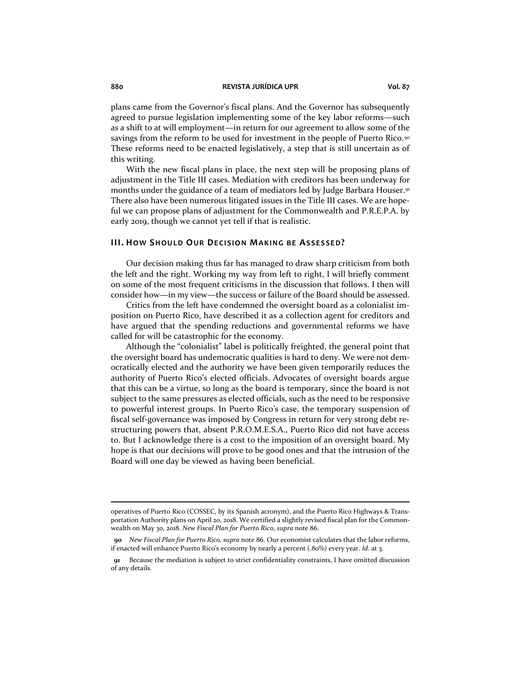plans came from the Governor's fiscal plans. And the Governor has subsequently agreed to pursue legislation implementing some of the key labor reforms—such as a shift to at will employment—in return for our agreement to allow some of the savings from the reform to be used for investment in the people of Puerto Rico.<sup>90</sup> These reforms need to be enacted legislatively, a step that is still uncertain as of this writing.

With the new fiscal plans in place, the next step will be proposing plans of adjustment in the Title III cases. Mediation with creditors has been underway for months under the guidance of a team of mediators led by Judge Barbara Houser.<sup>91</sup> There also have been numerous litigated issues in the Title III cases. We are hopeful we can propose plans of adjustment for the Commonwealth and P.R.E.P.A. by early 2019, though we cannot yet tell if that is realistic.

## **III.** HOW SHOULD OUR DECISION MAKING BE ASSESSED?

Our decision making thus far has managed to draw sharp criticism from both the left and the right. Working my way from left to right, I will briefly comment on some of the most frequent criticisms in the discussion that follows. I then will consider how—in my view—the success or failure of the Board should be assessed.

Critics from the left have condemned the oversight board as a colonialist imposition on Puerto Rico, have described it as a collection agent for creditors and have argued that the spending reductions and governmental reforms we have called for will be catastrophic for the economy.

Although the "colonialist" label is politically freighted, the general point that the oversight board has undemocratic qualities is hard to deny. We were not democratically elected and the authority we have been given temporarily reduces the authority of Puerto Rico's elected officials. Advocates of oversight boards argue that this can be a virtue, so long as the board is temporary, since the board is not subject to the same pressures as elected officials, such as the need to be responsive to powerful interest groups. In Puerto Rico's case, the temporary suspension of fiscal self-governance was imposed by Congress in return for very strong debt restructuring powers that, absent P.R.O.M.E.S.A., Puerto Rico did not have access to. But I acknowledge there is a cost to the imposition of an oversight board. My hope is that our decisions will prove to be good ones and that the intrusion of the Board will one day be viewed as having been beneficial.

operatives of Puerto Rico (COSSEC, by its Spanish acronym), and the Puerto Rico Highways & Transportation Authority plans on April 20, 2018. We certified a slightly revised fiscal plan for the Commonwealth on May 30, 2018. *New Fiscal Plan for Puerto Rico*, *supra* note 86.

**<sup>90</sup>** *New Fiscal Plan for Puerto Rico, supra* note 86. Our economist calculates that the labor reforms, if enacted will enhance Puerto Rico's economy by nearly a percent (.80%) every year. *Id.* at 3.

**<sup>91</sup>** Because the mediation is subject to strict confidentiality constraints, I have omitted discussion of any details.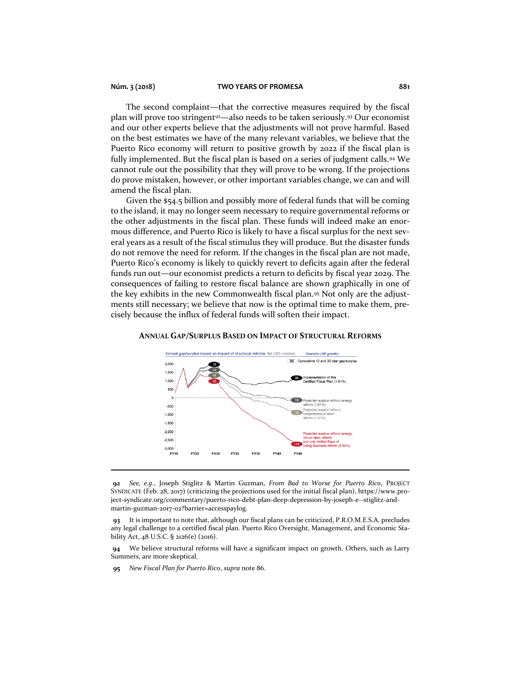## **Núm. 3 (2018) TWO YEARS OF PROMESA 881**

The second complaint—that the corrective measures required by the fiscal plan will prove too stringent<sup>92</sup>—also needs to be taken seriously.<sup>93</sup> Our economist and our other experts believe that the adjustments will not prove harmful. Based on the best estimates we have of the many relevant variables, we believe that the Puerto Rico economy will return to positive growth by 2022 if the fiscal plan is fully implemented. But the fiscal plan is based on a series of judgment calls.<sup>94</sup> We cannot rule out the possibility that they will prove to be wrong. If the projections do prove mistaken, however, or other important variables change, we can and will amend the fiscal plan.

Given the \$54.5 billion and possibly more of federal funds that will be coming to the island, it may no longer seem necessary to require governmental reforms or the other adjustments in the fiscal plan. These funds will indeed make an enormous difference, and Puerto Rico is likely to have a fiscal surplus for the next several years as a result of the fiscal stimulus they will produce. But the disaster funds do not remove the need for reform. If the changes in the fiscal plan are not made, Puerto Rico's economy is likely to quickly revert to deficits again after the federal funds run out—our economist predicts a return to deficits by fiscal year 2029. The consequences of failing to restore fiscal balance are shown graphically in one of the key exhibits in the new Commonwealth fiscal plan.<sup>95</sup> Not only are the adjustments still necessary; we believe that now is the optimal time to make them, precisely because the influx of federal funds will soften their impact.



## **ANNUAL GAP/SURPLUS BASED ON IMPACT OF STRUCTURAL REFORMS**

**92** *See, e.g.*, Joseph Stiglitz & Martin Guzman, *From Bad to Worse for Puerto Rico*, PROJECT SYNDICATE (Feb. 28, 2017) (criticizing the projections used for the initial fiscal plan), https://www.project-syndicate.org/commentary/puerto-rico-debt-plan-deep-depression-by-joseph-e--stiglitz-andmartin-guzman-2017-02?barrier=accesspaylog.

**93** It is important to note that, although our fiscal plans can be criticized, P.R.O.M.E.S.A. precludes any legal challenge to a certified fiscal plan. Puerto Rico Oversight, Management, and Economic Stability Act, 48 U.S.C. § 2126(e) (2016).

**94** We believe structural reforms will have a significant impact on growth. Others, such as Larry Summers, are more skeptical.

**95** *New Fiscal Plan for Puerto Rico*, *supra* note 86.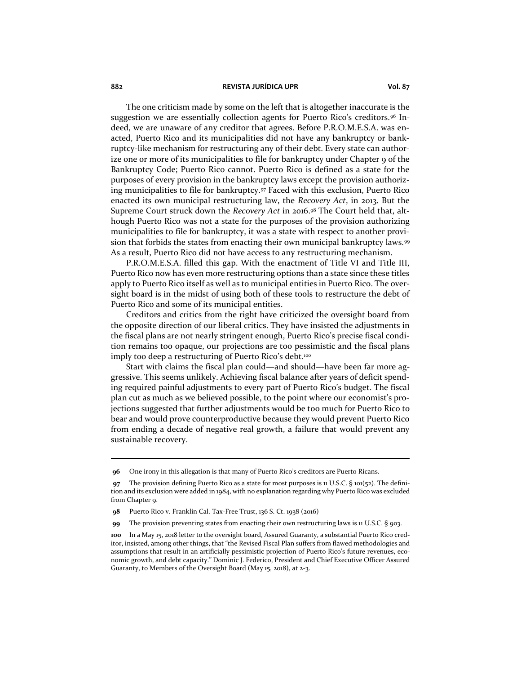The one criticism made by some on the left that is altogether inaccurate is the suggestion we are essentially collection agents for Puerto Rico's creditors.<sup>96</sup> Indeed, we are unaware of any creditor that agrees. Before P.R.O.M.E.S.A. was enacted, Puerto Rico and its municipalities did not have any bankruptcy or bankruptcy-like mechanism for restructuring any of their debt. Every state can authorize one or more of its municipalities to file for bankruptcy under Chapter 9 of the Bankruptcy Code; Puerto Rico cannot. Puerto Rico is defined as a state for the purposes of every provision in the bankruptcy laws except the provision authorizing municipalities to file for bankruptcy.<sup>97</sup> Faced with this exclusion, Puerto Rico enacted its own municipal restructuring law, the *Recovery Act*, in 2013. But the Supreme Court struck down the *Recovery Act* in 2016.<sup>98</sup> The Court held that, although Puerto Rico was not a state for the purposes of the provision authorizing municipalities to file for bankruptcy, it was a state with respect to another provision that forbids the states from enacting their own municipal bankruptcy laws.<sup>99</sup> As a result, Puerto Rico did not have access to any restructuring mechanism.

P.R.O.M.E.S.A. filled this gap. With the enactment of Title VI and Title III, Puerto Rico now has even more restructuring options than a state since these titles apply to Puerto Rico itself as well as to municipal entities in Puerto Rico. The oversight board is in the midst of using both of these tools to restructure the debt of Puerto Rico and some of its municipal entities.

Creditors and critics from the right have criticized the oversight board from the opposite direction of our liberal critics. They have insisted the adjustments in the fiscal plans are not nearly stringent enough, Puerto Rico's precise fiscal condition remains too opaque, our projections are too pessimistic and the fiscal plans imply too deep a restructuring of Puerto Rico's debt.<sup>100</sup>

Start with claims the fiscal plan could—and should—have been far more aggressive. This seems unlikely. Achieving fiscal balance after years of deficit spending required painful adjustments to every part of Puerto Rico's budget. The fiscal plan cut as much as we believed possible, to the point where our economist's projections suggested that further adjustments would be too much for Puerto Rico to bear and would prove counterproductive because they would prevent Puerto Rico from ending a decade of negative real growth, a failure that would prevent any sustainable recovery.

**<sup>96</sup>** One irony in this allegation is that many of Puerto Rico's creditors are Puerto Ricans.

**<sup>97</sup>** The provision defining Puerto Rico as a state for most purposes is 11 U.S.C. § 101(52). The definition and its exclusion were added in 1984, with no explanation regarding why Puerto Rico was excluded from Chapter 9.

**<sup>98</sup>** Puerto Rico v. Franklin Cal. Tax-Free Trust, 136 S. Ct. 1938 (2016)

**<sup>99</sup>** The provision preventing states from enacting their own restructuring laws is 11 U.S.C. § 903.

**<sup>100</sup>** In a May 15, 2018 letter to the oversight board, Assured Guaranty, a substantial Puerto Rico creditor, insisted, among other things, that "the Revised Fiscal Plan suffers from flawed methodologies and assumptions that result in an artificially pessimistic projection of Puerto Rico's future revenues, economic growth, and debt capacity." Dominic J. Federico, President and Chief Executive Officer Assured Guaranty, to Members of the Oversight Board (May 15, 2018), at 2-3.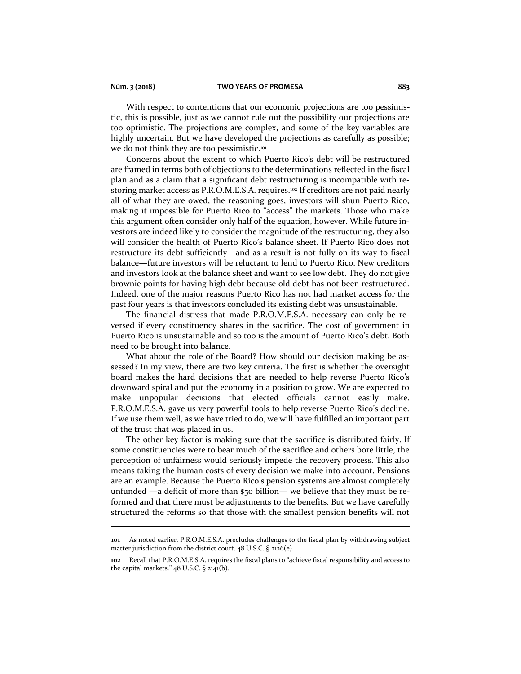With respect to contentions that our economic projections are too pessimistic, this is possible, just as we cannot rule out the possibility our projections are too optimistic. The projections are complex, and some of the key variables are highly uncertain. But we have developed the projections as carefully as possible; we do not think they are too pessimistic.<sup>101</sup>

Concerns about the extent to which Puerto Rico's debt will be restructured are framed in terms both of objections to the determinations reflected in the fiscal plan and as a claim that a significant debt restructuring is incompatible with restoring market access as P.R.O.M.E.S.A. requires.<sup>102</sup> If creditors are not paid nearly all of what they are owed, the reasoning goes, investors will shun Puerto Rico, making it impossible for Puerto Rico to "access" the markets. Those who make this argument often consider only half of the equation, however. While future investors are indeed likely to consider the magnitude of the restructuring, they also will consider the health of Puerto Rico's balance sheet. If Puerto Rico does not restructure its debt sufficiently—and as a result is not fully on its way to fiscal balance—future investors will be reluctant to lend to Puerto Rico. New creditors and investors look at the balance sheet and want to see low debt. They do not give brownie points for having high debt because old debt has not been restructured. Indeed, one of the major reasons Puerto Rico has not had market access for the past four years is that investors concluded its existing debt was unsustainable.

The financial distress that made P.R.O.M.E.S.A. necessary can only be reversed if every constituency shares in the sacrifice. The cost of government in Puerto Rico is unsustainable and so too is the amount of Puerto Rico's debt. Both need to be brought into balance.

What about the role of the Board? How should our decision making be assessed? In my view, there are two key criteria. The first is whether the oversight board makes the hard decisions that are needed to help reverse Puerto Rico's downward spiral and put the economy in a position to grow. We are expected to make unpopular decisions that elected officials cannot easily make. P.R.O.M.E.S.A. gave us very powerful tools to help reverse Puerto Rico's decline. If we use them well, as we have tried to do, we will have fulfilled an important part of the trust that was placed in us.

The other key factor is making sure that the sacrifice is distributed fairly. If some constituencies were to bear much of the sacrifice and others bore little, the perception of unfairness would seriously impede the recovery process. This also means taking the human costs of every decision we make into account. Pensions are an example. Because the Puerto Rico's pension systems are almost completely unfunded —a deficit of more than \$50 billion— we believe that they must be reformed and that there must be adjustments to the benefits. But we have carefully structured the reforms so that those with the smallest pension benefits will not

**<sup>101</sup>** As noted earlier, P.R.O.M.E.S.A. precludes challenges to the fiscal plan by withdrawing subject matter jurisdiction from the district court. 48 U.S.C. § 2126(e).

**<sup>102</sup>** Recall that P.R.O.M.E.S.A. requires the fiscal plans to "achieve fiscal responsibility and access to the capital markets."  $48$  U.S.C. §  $2141(b)$ .